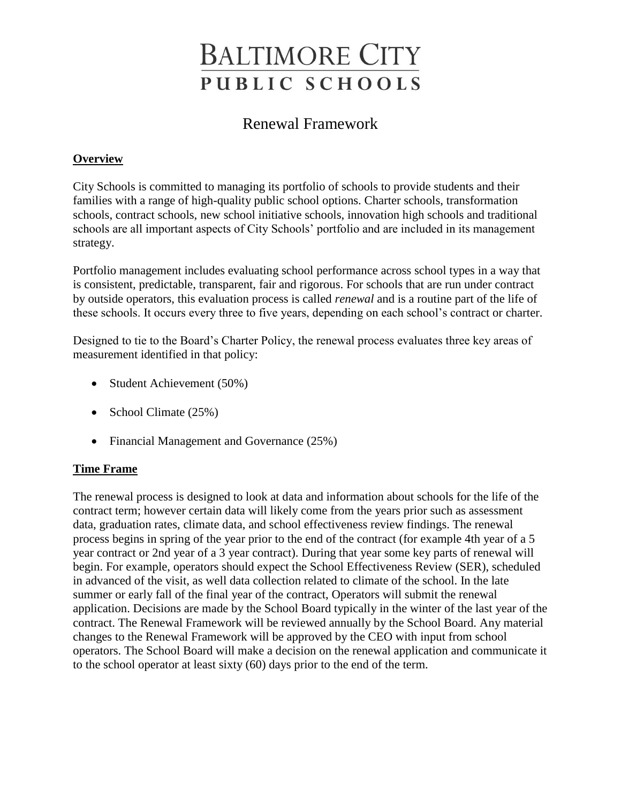# **BALTIMORE CITY** PUBLIC SCHOOLS

# Renewal Framework

# **Overview**

City Schools is committed to managing its portfolio of schools to provide students and their families with a range of high-quality public school options. Charter schools, transformation schools, contract schools, new school initiative schools, innovation high schools and traditional schools are all important aspects of City Schools' portfolio and are included in its management strategy.

Portfolio management includes evaluating school performance across school types in a way that is consistent, predictable, transparent, fair and rigorous. For schools that are run under contract by outside operators, this evaluation process is called *renewal* and is a routine part of the life of these schools. It occurs every three to five years, depending on each school's contract or charter.

Designed to tie to the Board's Charter Policy, the renewal process evaluates three key areas of measurement identified in that policy:

- Student Achievement (50%)
- School Climate (25%)
- Financial Management and Governance (25%)

#### **Time Frame**

The renewal process is designed to look at data and information about schools for the life of the contract term; however certain data will likely come from the years prior such as assessment data, graduation rates, climate data, and school effectiveness review findings. The renewal process begins in spring of the year prior to the end of the contract (for example 4th year of a 5 year contract or 2nd year of a 3 year contract). During that year some key parts of renewal will begin. For example, operators should expect the School Effectiveness Review (SER), scheduled in advanced of the visit, as well data collection related to climate of the school. In the late summer or early fall of the final year of the contract, Operators will submit the renewal application. Decisions are made by the School Board typically in the winter of the last year of the contract. The Renewal Framework will be reviewed annually by the School Board. Any material changes to the Renewal Framework will be approved by the CEO with input from school operators. The School Board will make a decision on the renewal application and communicate it to the school operator at least sixty (60) days prior to the end of the term.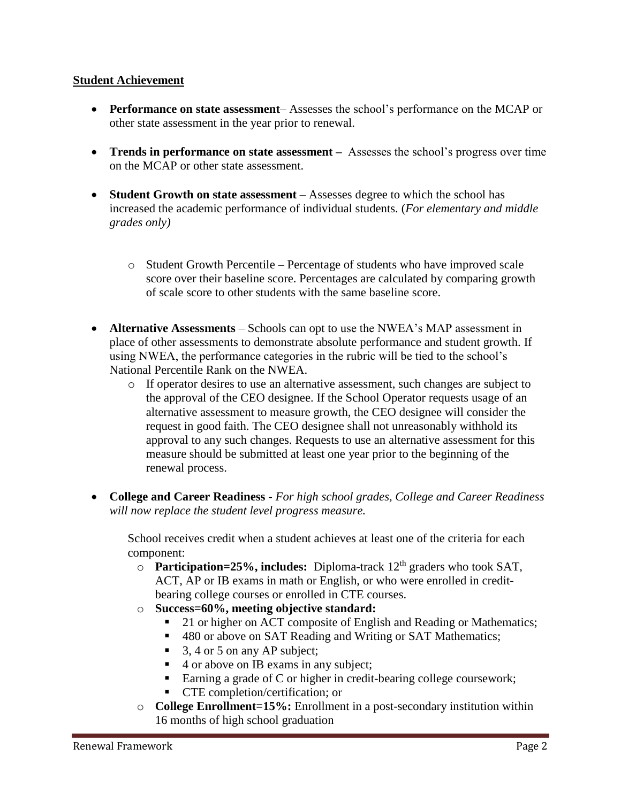#### **Student Achievement**

- **Performance on state assessment** Assesses the school's performance on the MCAP or other state assessment in the year prior to renewal.
- **Trends in performance on state assessment –** Assesses the school's progress over time on the MCAP or other state assessment.
- **Student Growth on state assessment** Assesses degree to which the school has increased the academic performance of individual students. (*For elementary and middle grades only)*
	- o Student Growth Percentile Percentage of students who have improved scale score over their baseline score. Percentages are calculated by comparing growth of scale score to other students with the same baseline score.
- **Alternative Assessments** Schools can opt to use the NWEA's MAP assessment in place of other assessments to demonstrate absolute performance and student growth. If using NWEA, the performance categories in the rubric will be tied to the school's National Percentile Rank on the NWEA.
	- o If operator desires to use an alternative assessment, such changes are subject to the approval of the CEO designee. If the School Operator requests usage of an alternative assessment to measure growth, the CEO designee will consider the request in good faith. The CEO designee shall not unreasonably withhold its approval to any such changes. Requests to use an alternative assessment for this measure should be submitted at least one year prior to the beginning of the renewal process.
- **College and Career Readiness** *- For high school grades, College and Career Readiness will now replace the student level progress measure.*

School receives credit when a student achieves at least one of the criteria for each component:

- o **Participation=25%, includes:** Diploma-track 12<sup>th</sup> graders who took SAT, ACT, AP or IB exams in math or English, or who were enrolled in creditbearing college courses or enrolled in CTE courses.
- o **Success=60%, meeting objective standard:**
	- 21 or higher on ACT composite of English and Reading or Mathematics;
	- 480 or above on SAT Reading and Writing or SAT Mathematics;
	- $\blacksquare$  3, 4 or 5 on any AP subject;
	- 4 or above on IB exams in any subject;
	- Earning a grade of C or higher in credit-bearing college coursework;
	- CTE completion/certification; or
- o **College Enrollment=15%:** Enrollment in a post-secondary institution within 16 months of high school graduation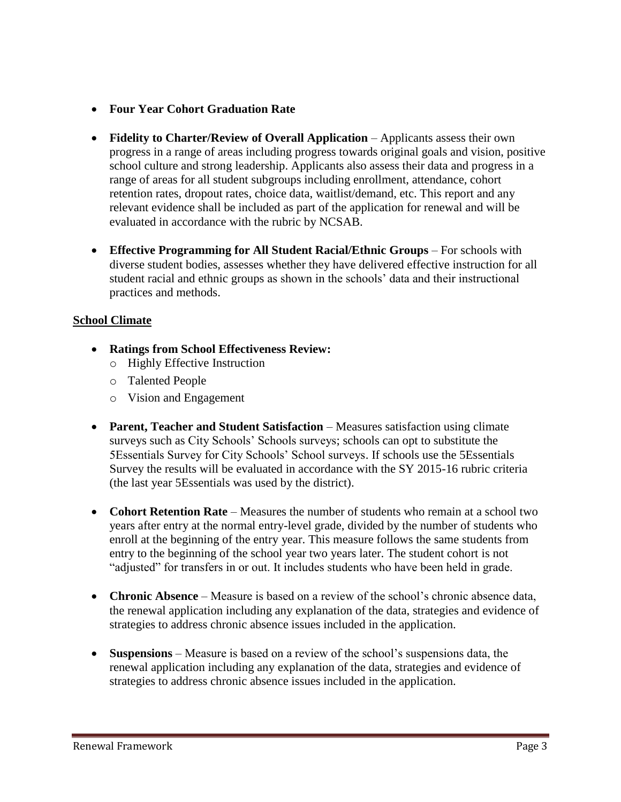### • **Four Year Cohort Graduation Rate**

- Fidelity to Charter/Review of Overall Application Applicants assess their own progress in a range of areas including progress towards original goals and vision, positive school culture and strong leadership. Applicants also assess their data and progress in a range of areas for all student subgroups including enrollment, attendance, cohort retention rates, dropout rates, choice data, waitlist/demand, etc. This report and any relevant evidence shall be included as part of the application for renewal and will be evaluated in accordance with the rubric by NCSAB.
- **Effective Programming for All Student Racial/Ethnic Groups** For schools with diverse student bodies, assesses whether they have delivered effective instruction for all student racial and ethnic groups as shown in the schools' data and their instructional practices and methods.

# **School Climate**

- **Ratings from School Effectiveness Review:** 
	- o Highly Effective Instruction
	- o Talented People
	- o Vision and Engagement
- **Parent, Teacher and Student Satisfaction**  Measures satisfaction using climate surveys such as City Schools' Schools surveys; schools can opt to substitute the 5Essentials Survey for City Schools' School surveys. If schools use the 5Essentials Survey the results will be evaluated in accordance with the SY 2015-16 rubric criteria (the last year 5Essentials was used by the district).
- **Cohort Retention Rate** Measures the number of students who remain at a school two years after entry at the normal entry-level grade, divided by the number of students who enroll at the beginning of the entry year. This measure follows the same students from entry to the beginning of the school year two years later. The student cohort is not "adjusted" for transfers in or out. It includes students who have been held in grade.
- **Chronic Absence**  Measure is based on a review of the school's chronic absence data, the renewal application including any explanation of the data, strategies and evidence of strategies to address chronic absence issues included in the application.
- **Suspensions**  Measure is based on a review of the school's suspensions data, the renewal application including any explanation of the data, strategies and evidence of strategies to address chronic absence issues included in the application.